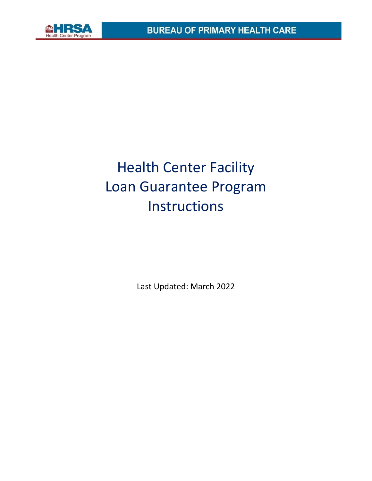

# Health Center Facility Loan Guarantee Program Instructions

Last Updated: March 2022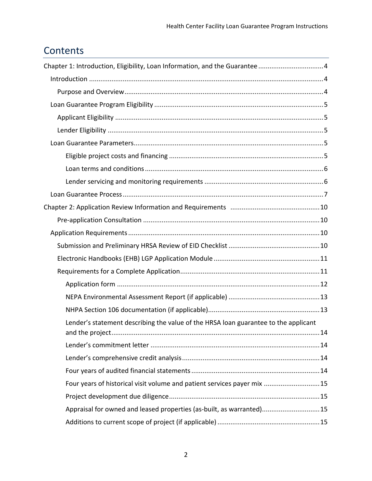# **Contents**

| Chapter 1: Introduction, Eligibility, Loan Information, and the Guarantee 4         |
|-------------------------------------------------------------------------------------|
|                                                                                     |
|                                                                                     |
|                                                                                     |
|                                                                                     |
|                                                                                     |
|                                                                                     |
|                                                                                     |
|                                                                                     |
|                                                                                     |
|                                                                                     |
|                                                                                     |
|                                                                                     |
|                                                                                     |
|                                                                                     |
|                                                                                     |
|                                                                                     |
|                                                                                     |
|                                                                                     |
|                                                                                     |
| Lender's statement describing the value of the HRSA loan guarantee to the applicant |
|                                                                                     |
|                                                                                     |
|                                                                                     |
| Four years of historical visit volume and patient services payer mix 15             |
|                                                                                     |
| Appraisal for owned and leased properties (as-built, as warranted)15                |
|                                                                                     |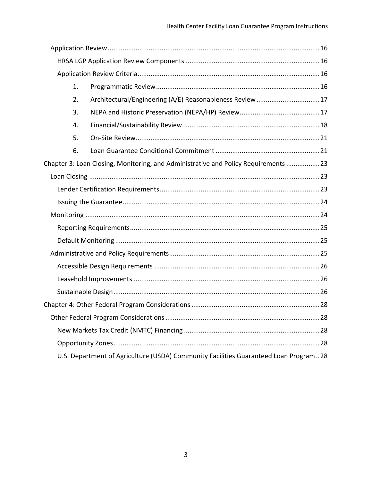| 1.                                                                                   |                                                                                    |  |  |
|--------------------------------------------------------------------------------------|------------------------------------------------------------------------------------|--|--|
| 2.                                                                                   | Architectural/Engineering (A/E) Reasonableness Review 17                           |  |  |
| 3.                                                                                   |                                                                                    |  |  |
| 4.                                                                                   |                                                                                    |  |  |
| 5.                                                                                   |                                                                                    |  |  |
| 6.                                                                                   |                                                                                    |  |  |
|                                                                                      | Chapter 3: Loan Closing, Monitoring, and Administrative and Policy Requirements 23 |  |  |
|                                                                                      |                                                                                    |  |  |
|                                                                                      |                                                                                    |  |  |
|                                                                                      |                                                                                    |  |  |
|                                                                                      |                                                                                    |  |  |
|                                                                                      |                                                                                    |  |  |
|                                                                                      |                                                                                    |  |  |
|                                                                                      |                                                                                    |  |  |
|                                                                                      |                                                                                    |  |  |
|                                                                                      |                                                                                    |  |  |
|                                                                                      |                                                                                    |  |  |
|                                                                                      |                                                                                    |  |  |
|                                                                                      |                                                                                    |  |  |
|                                                                                      |                                                                                    |  |  |
|                                                                                      |                                                                                    |  |  |
| U.S. Department of Agriculture (USDA) Community Facilities Guaranteed Loan Program28 |                                                                                    |  |  |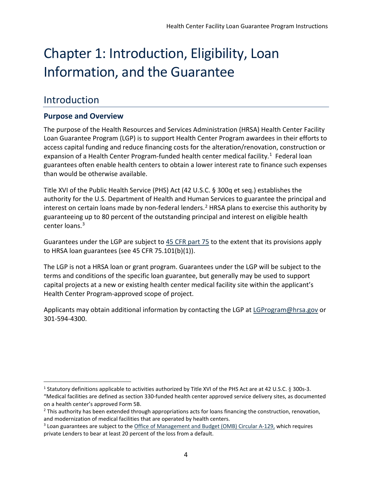# <span id="page-3-0"></span>Chapter 1: Introduction, Eligibility, Loan Information, and the Guarantee

# <span id="page-3-1"></span>Introduction

# <span id="page-3-2"></span>**Purpose and Overview**

The purpose of the Health Resources and Services Administration (HRSA) Health Center Facility Loan Guarantee Program (LGP) is to support Health Center Program awardees in their efforts to access capital funding and reduce financing costs for the alteration/renovation, construction or expansion of a Health Center Program-funded health center medical facility.<sup>1</sup> Federal loan guarantees often enable health centers to obtain a lower interest rate to finance such expenses than would be otherwise available.

Title XVI of the Public Health Service (PHS) Act (42 U.S.C. § 300q et seq.) establishes the authority for the U.S. Department of Health and Human Services to guarantee the principal and interest on certain loans made by non-federal lenders.<sup>2</sup> HRSA plans to exercise this authority by guaranteeing up to 80 percent of the outstanding principal and interest on eligible health center loans.<sup>[3](#page-3-5)</sup>

Guarantees under the LGP are subject to [45 CFR part 75](https://www.ecfr.gov/cgi-bin/retrieveECFR?gp=1&SID=df3c54728d090168d3b2e780a6f6ca7c&ty=HTML&h=L&mc=true&n=pt45.1.75&r=PART) to the extent that its provisions apply to HRSA loan guarantees (see 45 CFR 75.101(b)(1)).

The LGP is not a HRSA loan or grant program. Guarantees under the LGP will be subject to the terms and conditions of the specific loan guarantee, but generally may be used to support capital projects at a new or existing health center medical facility site within the applicant's Health Center Program-approved scope of project.

Applicants may obtain additional information by contacting the LGP at [LGProgram@hrsa.gov](mailto:LGProgram@hrsa.gov) or 301-594-4300.

<span id="page-3-3"></span><sup>&</sup>lt;sup>1</sup> Statutory definitions applicable to activities authorized by Title XVI of the PHS Act are at 42 U.S.C. § 300s-3. "Medical facilities are defined as section 330-funded health center approved service delivery sites, as documented on a health center's approved Form 5B.

<span id="page-3-4"></span> $<sup>2</sup>$  This authority has been extended through appropriations acts for loans financing the construction, renovation,</sup> and modernization of medical facilities that are operated by health centers.

<span id="page-3-5"></span><sup>3</sup> Loan guarantees are subject to the [Office of Management and Budget \(OMB\) Circular A-129,](https://www.whitehouse.gov/sites/whitehouse.gov/files/omb/circulars/A129/a-129.pdf) which requires private Lenders to bear at least 20 percent of the loss from a default.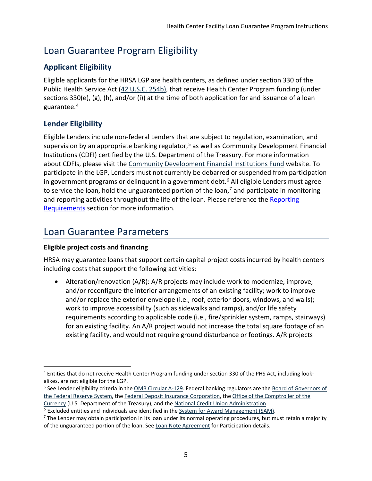# <span id="page-4-0"></span>Loan Guarantee Program Eligibility

# <span id="page-4-1"></span>**Applicant Eligibility**

Eligible applicants for the HRSA LGP are health centers, as defined under section 330 of the Public Health Service Act [\(42 U.S.C. 254b\)](http://uscode.house.gov/view.xhtml?req=granuleid:USC-prelim-title42-section254b&num=0&edition=prelim), that receive Health Center Program funding (under sections 330(e), (g), (h), and/or (i)) at the time of both application for and issuance of a loan guarantee.[4](#page-4-5)

# <span id="page-4-2"></span>**Lender Eligibility**

Eligible Lenders include non-federal Lenders that are subject to regulation, examination, and supervision by an appropriate banking regulator,<sup>[5](#page-4-6)</sup> as well as Community Development Financial Institutions (CDFI) certified by the U.S. Department of the Treasury. For more information about CDFIs, please visit the [Community Development Financial Institutions Fund](http://www.cdfifund.gov/) website. To participate in the LGP, Lenders must not currently be debarred or suspended from participation in government programs or delinquent in a government debt.<sup>[6](#page-4-7)</sup> All eligible Lenders must agree to service the loan, hold the unguaranteed portion of the loan,<sup>[7](#page-4-8)</sup> and participate in monitoring and reporting activities throughout the life of the loan. Please reference the Reporting [Requirements](#page-24-0) section for more information.

# <span id="page-4-3"></span>Loan Guarantee Parameters

### <span id="page-4-4"></span>**Eligible project costs and financing**

HRSA may guarantee loans that support certain capital project costs incurred by health centers including costs that support the following activities:

• Alteration/renovation (A/R): A/R projects may include work to modernize, improve, and/or reconfigure the interior arrangements of an existing facility; work to improve and/or replace the exterior envelope (i.e., roof, exterior doors, windows, and walls); work to improve accessibility (such as sidewalks and ramps), and/or life safety requirements according to applicable code (i.e., fire/sprinkler system, ramps, stairways) for an existing facility. An A/R project would not increase the total square footage of an existing facility, and would not require ground disturbance or footings. A/R projects

<span id="page-4-5"></span><sup>4</sup> Entities that do not receive Health Center Program funding under section 330 of the PHS Act, including lookalikes, are not eligible for the LGP.

<sup>5</sup> See Lender eligibility criteria in th[e OMB Circular A-129.](https://www.whitehouse.gov/sites/whitehouse.gov/files/omb/circulars/A129/a-129.pdf) Federal banking regulators are the [Board of Governors of](http://www.federalreserve.gov/)  [the Federal Reserve System,](http://www.federalreserve.gov/) the [Federal Deposit Insurance Corporation,](http://www.fdic.gov/) th[e Office of the Comptroller of the](http://www.occ.treas.gov/)  [Currency](http://www.occ.treas.gov/) (U.S. Department of the Treasury), and the National Credit [Union Administration.](http://www.ncua.gov/)

<span id="page-4-6"></span> $6$  Excluded entities and individuals are identified in the [System for Award Management \(SAM\).](https://www.sam.gov/SAM/)

<span id="page-4-8"></span><span id="page-4-7"></span> $<sup>7</sup>$  The Lender may obtain participation in its loan under its normal operating procedures, but must retain a majority</sup> of the unguaranteed portion of the loan. See [Loan Note Agreement](https://bphc.hrsa.gov/sites/default/files/bphc/programopportunities/fundingopportunities/hcf-lgp/loan-guarantee-agreement.pdf) for Participation details.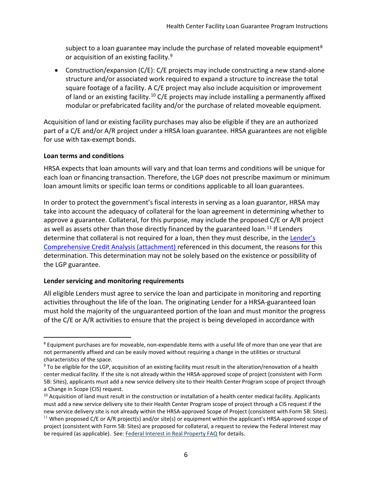subject to a loan guarantee may include the purchase of related moveable equipment<sup>[8](#page-5-2)</sup> or acquisition of an existing facility.<sup>[9](#page-5-3)</sup>

• Construction/expansion (C/E): C/E projects may include constructing a new stand-alone structure and/or associated work required to expand a structure to increase the total square footage of a facility. A C/E project may also include acquisition or improvement of land or an existing facility.<sup>[10](#page-5-4)</sup> C/E projects may include installing a permanently affixed modular or prefabricated facility and/or the purchase of related moveable equipment.

Acquisition of land or existing facility purchases may also be eligible if they are an authorized part of a C/E and/or A/R project under a HRSA loan guarantee. HRSA guarantees are not eligible for use with tax-exempt bonds.

#### <span id="page-5-0"></span>**Loan terms and conditions**

HRSA expects that loan amounts will vary and that loan terms and conditions will be unique for each loan or financing transaction. Therefore, the LGP does not prescribe maximum or minimum loan amount limits or specific loan terms or conditions applicable to all loan guarantees.

In order to protect the government's fiscal interests in serving as a loan guarantor, HRSA may take into account the adequacy of collateral for the loan agreement in determining whether to approve a guarantee. Collateral, for this purpose, may include the proposed C/E or A/R project as well as assets other than those directly financed by the guaranteed loan.<sup>[11](#page-5-5)</sup> If Lenders determine that collateral is not required for a loan, then they must describe, in the [Lender's](#page-13-2)  [Comprehensive Credit Analysis \(attachment\)](#page-13-2) referenced in this document, the reasons for this determination. This determination may not be solely based on the existence or possibility of the LGP guarantee.

#### <span id="page-5-1"></span>**Lender servicing and monitoring requirements**

All eligible Lenders must agree to service the loan and participate in monitoring and reporting activities throughout the life of the loan. The originating Lender for a HRSA-guaranteed loan must hold the majority of the unguaranteed portion of the loan and must monitor the progress of the C/E or A/R activities to ensure that the project is being developed in accordance with

<span id="page-5-2"></span><sup>&</sup>lt;sup>8</sup> Equipment purchases are for moveable, non-expendable items with a useful life of more than one year that are not permanently affixed and can be easily moved without requiring a change in the utilities or structural characteristics of the space.

<span id="page-5-3"></span> $9$  To be eligible for the LGP, acquisition of an existing facility must result in the alteration/renovation of a health center medical facility. If the site is not already within the HRSA-approved scope of project (consistent with Form 5B: Sites), applicants must add a new service delivery site to their Health Center Program scope of project through a Change in Scope (CIS) request.

<span id="page-5-5"></span><span id="page-5-4"></span> $10$  Acquisition of land must result in the construction or installation of a health center medical facility. Applicants must add a new service delivery site to their Health Center Program scope of project through a CIS request if the new service delivery site is not already within the HRSA-approved Scope of Project (consistent with Form 5B: Sites). <sup>11</sup> When proposed C/E or A/R project(s) and/or site(s) or equipment within the applicant's HRSA-approved scope of project (consistent with Form 5B: Sites) are proposed for collateral, a request to review the Federal Interest may be required (as applicable). See[: Federal Interest in](https://bphc.hrsa.gov/sites/default/files/bphc/programopportunities/fundingopportunities/capital-development/nfifilingguide.pdf) Real Property FAQ for details.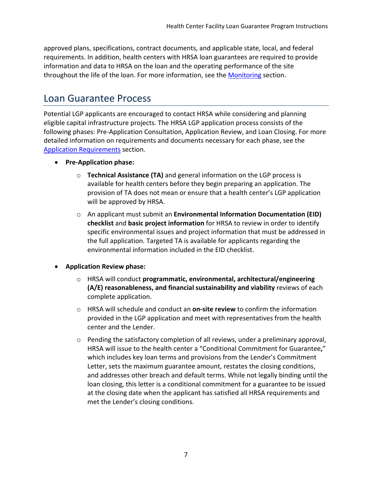approved plans, specifications, contract documents, and applicable state, local, and federal requirements. In addition, health centers with HRSA loan guarantees are required to provide information and data to HRSA on the loan and the operating performance of the site throughout the life of the loan. For more information, see the [Monitoring](#page-23-1) section.

# <span id="page-6-0"></span>Loan Guarantee Process

Potential LGP applicants are encouraged to contact HRSA while considering and planning eligible capital infrastructure projects. The HRSA LGP application process consists of the following phases: Pre-Application Consultation, Application Review, and Loan Closing. For more detailed information on requirements and documents necessary for each phase, see the [Application Requirements](#page-9-1) section.

- **Pre-Application phase:**
	- **Technical Assistance (TA)** and general information on the LGP process is available for health centers before they begin preparing an application. The provision of TA does not mean or ensure that a health center's LGP application will be approved by HRSA.
	- An applicant must submit an **Environmental Information Documentation (EID) checklist** and **basic project information** for HRSA to review in order to identify specific environmental issues and project information that must be addressed in the full application. Targeted TA is available for applicants regarding the environmental information included in the EID checklist.
- **Application Review phase:**
	- HRSA will conduct **programmatic, environmental, architectural/engineering (A/E) reasonableness, and financial sustainability and viability** reviews of each complete application.
	- HRSA will schedule and conduct an **on-site review** to confirm the information provided in the LGP application and meet with representatives from the health center and the Lender.
	- Pending the satisfactory completion of all reviews, under a preliminary approval, HRSA will issue to the health center a "Conditional Commitment for Guarantee**,**" which includes key loan terms and provisions from the Lender's Commitment Letter, sets the maximum guarantee amount, restates the closing conditions, and addresses other breach and default terms. While not legally binding until the loan closing, this letter is a conditional commitment for a guarantee to be issued at the closing date when the applicant has satisfied all HRSA requirements and met the Lender's closing conditions.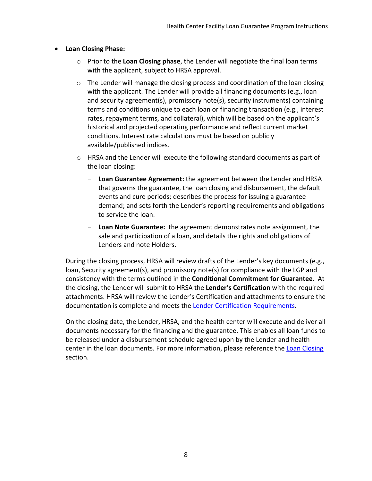#### • **Loan Closing Phase:**

- Prior to the **Loan Closing phase**, the Lender will negotiate the final loan terms with the applicant, subject to HRSA approval.
- The Lender will manage the closing process and coordination of the loan closing with the applicant. The Lender will provide all financing documents (e.g., loan and security agreement(s), promissory note(s), security instruments) containing terms and conditions unique to each loan or financing transaction (e.g., interest rates, repayment terms, and collateral), which will be based on the applicant's historical and projected operating performance and reflect current market conditions. Interest rate calculations must be based on publicly available/published indices.
- $\circ$  HRSA and the Lender will execute the following standard documents as part of the loan closing:
	- **Loan Guarantee Agreement:** the agreement between the Lender and HRSA that governs the guarantee, the loan closing and disbursement, the default events and cure periods; describes the process for issuing a guarantee demand; and sets forth the Lender's reporting requirements and obligations to service the loan.
	- **Loan Note Guarantee:** the agreement demonstrates note assignment, the sale and participation of a loan, and details the rights and obligations of Lenders and note Holders.

During the closing process, HRSA will review drafts of the Lender's key documents (e.g., loan, Security agreement(s), and promissory note(s) for compliance with the LGP and consistency with the terms outlined in the **Conditional Commitment for Guarantee**. At the closing, the Lender will submit to HRSA the **Lender's Certification** with the required attachments. HRSA will review the Lender's Certification and attachments to ensure the documentation is complete and meets the [Lender Certification Requirements.](#page-22-2)

On the closing date, the Lender, HRSA, and the health center will execute and deliver all documents necessary for the financing and the guarantee. This enables all loan funds to be released under a disbursement schedule agreed upon by the Lender and health center in the loan documents. For more information, please reference the [Loan Closing](#page-22-1) section.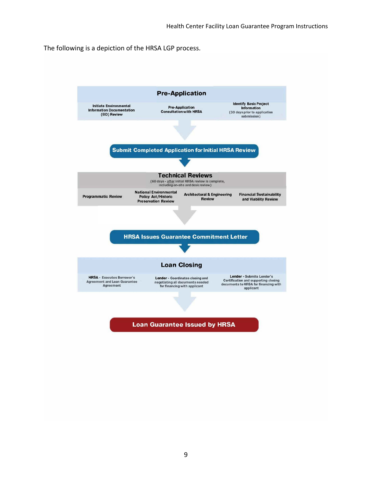The following is a depiction of the HRSA LGP process.

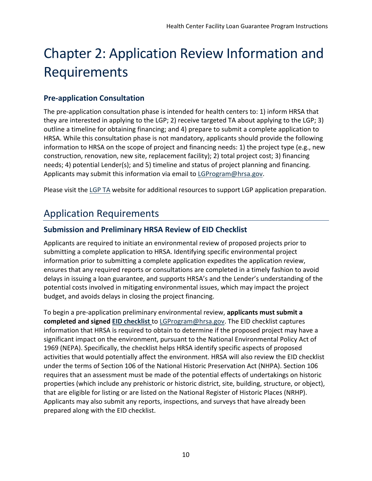# <span id="page-9-0"></span>Chapter 2: Application Review Information and Requirements

# <span id="page-9-1"></span>**Pre-application Consultation**

The pre-application consultation phase is intended for health centers to: 1) inform HRSA that they are interested in applying to the LGP; 2) receive targeted TA about applying to the LGP; 3) outline a timeline for obtaining financing; and 4) prepare to submit a complete application to HRSA. While this consultation phase is not mandatory, applicants should provide the following information to HRSA on the scope of project and financing needs: 1) the project type (e.g., new construction, renovation, new site, replacement facility); 2) total project cost; 3) financing needs; 4) potential Lender(s); and 5) timeline and status of project planning and financing. Applicants may submit this information via email to [LGProgram@hrsa.gov.](mailto:LGProgram@hrsa.gov)

Please visit the [LGP TA](https://bphc.hrsa.gov/programopportunities/loan-guarantee-program.html) website for additional resources to support LGP application preparation.

# <span id="page-9-2"></span>Application Requirements

# <span id="page-9-3"></span>**Submission and Preliminary HRSA Review of EID Checklist**

Applicants are required to initiate an environmental review of proposed projects prior to submitting a complete application to HRSA. Identifying specific environmental project information prior to submitting a complete application expedites the application review, ensures that any required reports or consultations are completed in a timely fashion to avoid delays in issuing a loan guarantee, and supports HRSA's and the Lender's understanding of the potential costs involved in mitigating environmental issues, which may impact the project budget, and avoids delays in closing the project financing.

To begin a pre-application preliminary environmental review, **applicants must submit a completed and signed [EID checklist](https://bphc.hrsa.gov/about/nepa-nhpa/capital-development.html)** to [LGProgram@hrsa.gov.](mailto:LGProgram@hrsa.gov) The EID checklist captures information that HRSA is required to obtain to determine if the proposed project may have a significant impact on the environment, pursuant to the National Environmental Policy Act of 1969 (NEPA). Specifically, the checklist helps HRSA identify specific aspects of proposed activities that would potentially affect the environment. HRSA will also review the EID checklist under the terms of Section 106 of the National Historic Preservation Act (NHPA). Section 106 requires that an assessment must be made of the potential effects of undertakings on historic properties (which include any prehistoric or historic district, site, building, structure, or object), that are eligible for listing or are listed on the National Register of Historic Places (NRHP). Applicants may also submit any reports, inspections, and surveys that have already been prepared along with the EID checklist.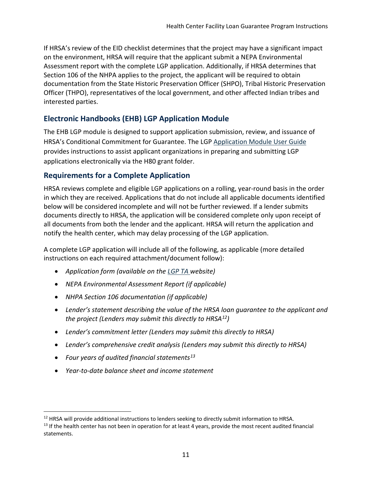If HRSA's review of the EID checklist determines that the project may have a significant impact on the environment, HRSA will require that the applicant submit a NEPA Environmental Assessment report with the complete LGP application. Additionally, if HRSA determines that Section 106 of the NHPA applies to the project, the applicant will be required to obtain documentation from the State Historic Preservation Officer (SHPO), Tribal Historic Preservation Officer (THPO), representatives of the local government, and other affected Indian tribes and interested parties.

# <span id="page-10-0"></span>**Electronic Handbooks (EHB) LGP Application Module**

The EHB LGP module is designed to support application submission, review, and issuance of HRSA's Conditional Commitment for Guarantee. The LGP [Application Module User Guide](https://bphc.hrsa.gov/sites/default/files/bphc/programopportunities/fundingopportunities/hcf-lgp/application-mod-guidee.pdf) provides instructions to assist applicant organizations in preparing and submitting LGP applications electronically via the H80 grant folder.

# <span id="page-10-1"></span>**Requirements for a Complete Application**

HRSA reviews complete and eligible LGP applications on a rolling, year-round basis in the order in which they are received. Applications that do not include all applicable documents identified below will be considered incomplete and will not be further reviewed. If a lender submits documents directly to HRSA, the application will be considered complete only upon receipt of all documents from both the lender and the applicant. HRSA will return the application and notify the health center, which may delay processing of the LGP application.

A complete LGP application will include all of the following, as applicable (more detailed instructions on each required attachment/document follow):

- *Application form (available on the [LGP TA](https://bphc.hrsa.gov/programopportunities/loan-guarantee-program.html) website)*
- *NEPA Environmental Assessment Report (if applicable)*
- *NHPA Section 106 documentation (if applicable)*
- *Lender's statement describing the value of the HRSA loan guarantee to the applicant and the project (Lenders may submit this directly to HRSA[12\)](#page-10-2)*
- *Lender's commitment letter (Lenders may submit this directly to HRSA)*
- *Lender's comprehensive credit analysis (Lenders may submit this directly to HRSA)*
- *Four years of audited financial statements[13](#page-10-3)*
- *Year-to-date balance sheet and income statement*

<span id="page-10-2"></span><sup>&</sup>lt;sup>12</sup> HRSA will provide additional instructions to lenders seeking to directly submit information to HRSA.

<span id="page-10-3"></span> $<sup>13</sup>$  If the health center has not been in operation for at least 4 years, provide the most recent audited financial</sup> statements.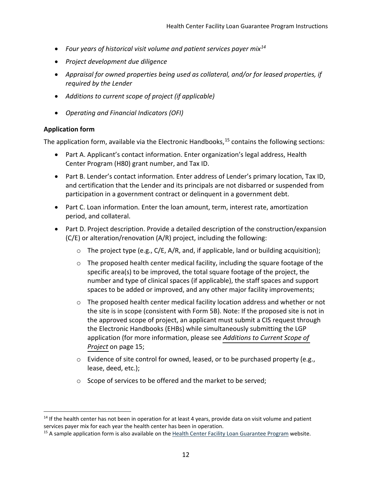- *Four years of historical visit volume and patient services payer mix[14](#page-11-1)*
- *Project development due diligence*
- *Appraisal for owned properties being used as collateral, and/or for leased properties, if required by the Lender*
- *Additions to current scope of project (if applicable)*
- *Operating and Financial Indicators (OFI)*

#### <span id="page-11-0"></span>**Application form**

The application form, available via the Electronic Handbooks,<sup>[15](#page-11-2)</sup> contains the following sections:

- Part A. Applicant's contact information. Enter organization's legal address, Health Center Program (H80) grant number, and Tax ID.
- Part B. Lender's contact information. Enter address of Lender's primary location, Tax ID, and certification that the Lender and its principals are not disbarred or suspended from participation in a government contract or delinquent in a government debt.
- Part C. Loan information. Enter the loan amount, term, interest rate, amortization period, and collateral.
- Part D. Project description. Provide a detailed description of the construction/expansion (C/E) or alteration/renovation (A/R) project, including the following:
	- The project type (e.g., C/E, A/R, and, if applicable, land or building acquisition);
	- $\circ$  The proposed health center medical facility, including the square footage of the specific area(s) to be improved, the total square footage of the project, the number and type of clinical spaces (if applicable), the staff spaces and support spaces to be added or improved, and any other major facility improvements;
	- The proposed health center medical facility location address and whether or not the site is in scope (consistent with Form 5B). Note: If the proposed site is not in the approved scope of project, an applicant must submit a CIS request through the Electronic Handbooks (EHBs) while simultaneously submitting the LGP application (for more information, please see *[Additions to Current Scope of](#page-14-3)  [Project](#page-14-3)* on page 15;
	- Evidence of site control for owned, leased, or to be purchased property (e.g., lease, deed, etc.);
	- Scope of services to be offered and the market to be served;

<span id="page-11-1"></span> $14$  If the health center has not been in operation for at least 4 years, provide data on visit volume and patient services payer mix for each year the health center has been in operation.

<span id="page-11-2"></span><sup>&</sup>lt;sup>15</sup> A sample application form is also available on th[e Health Center Facility Loan Guarantee Program](https://bphc.hrsa.gov/programopportunities/loan-guarantee-program.html) website.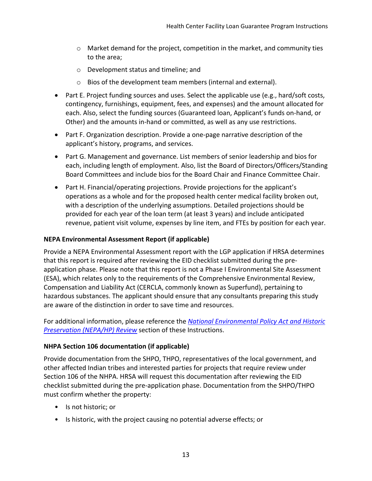- Market demand for the project, competition in the market, and community ties to the area;
- Development status and timeline; and
- Bios of the development team members (internal and external).
- Part E. Project funding sources and uses. Select the applicable use (e.g., hard/soft costs, contingency, furnishings, equipment, fees, and expenses) and the amount allocated for each. Also, select the funding sources (Guaranteed loan, Applicant's funds on-hand, or Other) and the amounts in-hand or committed, as well as any use restrictions.
- Part F. Organization description. Provide a one-page narrative description of the applicant's history, programs, and services.
- Part G. Management and governance. List members of senior leadership and bios for each, including length of employment. Also, list the Board of Directors/Officers/Standing Board Committees and include bios for the Board Chair and Finance Committee Chair.
- Part H. Financial/operating projections. Provide projections for the applicant's operations as a whole and for the proposed health center medical facility broken out, with a description of the underlying assumptions. Detailed projections should be provided for each year of the loan term (at least 3 years) and include anticipated revenue, patient visit volume, expenses by line item, and FTEs by position for each year.

### <span id="page-12-0"></span>**NEPA Environmental Assessment Report (if applicable)**

Provide a NEPA Environmental Assessment report with the LGP application if HRSA determines that this report is required after reviewing the EID checklist submitted during the preapplication phase. Please note that this report is not a Phase I Environmental Site Assessment (ESA), which relates only to the requirements of the Comprehensive Environmental Review, Compensation and Liability Act (CERCLA, commonly known as Superfund), pertaining to hazardous substances. The applicant should ensure that any consultants preparing this study are aware of the distinction in order to save time and resources.

For additional information, please reference the *[National Environmental Policy Act and Historic](#page-16-1)  [Preservation \(NEPA/HP\) Review](#page-16-1)* section of these Instructions.

### <span id="page-12-1"></span>**NHPA Section 106 documentation (if applicable)**

Provide documentation from the SHPO, THPO, representatives of the local government, and other affected Indian tribes and interested parties for projects that require review under Section 106 of the NHPA. HRSA will request this documentation after reviewing the EID checklist submitted during the pre-application phase. Documentation from the SHPO/THPO must confirm whether the property:

- Is not historic; or
- Is historic, with the project causing no potential adverse effects; or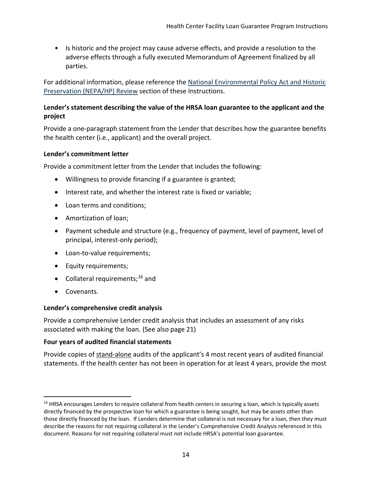• Is historic and the project may cause adverse effects, and provide a resolution to the adverse effects through a fully executed Memorandum of Agreement finalized by all parties.

For additional information, please reference the [National Environmental Policy Act and Historic](#page-16-1)  [Preservation \(NEPA/HP\) Review](#page-16-1) section of these Instructions.

### <span id="page-13-0"></span>**Lender's statement describing the value of the HRSA loan guarantee to the applicant and the project**

Provide a one-paragraph statement from the Lender that describes how the guarantee benefits the health center (i.e., applicant) and the overall project.

### <span id="page-13-1"></span>**Lender's commitment letter**

Provide a commitment letter from the Lender that includes the following:

- Willingness to provide financing if a guarantee is granted;
- Interest rate, and whether the interest rate is fixed or variable;
- Loan terms and conditions;
- Amortization of loan;
- Payment schedule and structure (e.g., frequency of payment, level of payment, level of principal, interest-only period);
- Loan-to-value requirements;
- Equity requirements;
- Collateral requirements;<sup>[16](#page-13-4)</sup> and
- Covenants.

### <span id="page-13-2"></span>**Lender's comprehensive credit analysis**

Provide a comprehensive Lender credit analysis that includes an assessment of any risks associated with making the loan. (See also page 21)

### <span id="page-13-3"></span>**Four years of audited financial statements**

Provide copies of stand-alone audits of the applicant's 4 most recent years of audited financial statements. If the health center has not been in operation for at least 4 years, provide the most

<span id="page-13-4"></span><sup>&</sup>lt;sup>16</sup> HRSA encourages Lenders to require collateral from health centers in securing a loan, which is typically assets directly financed by the prospective loan for which a guarantee is being sought, but may be assets other than those directly financed by the loan. If Lenders determine that collateral is not necessary for a loan, then they must describe the reasons for not requiring collateral in the Lender's Comprehensive Credit Analysis referenced in this document. Reasons for not requiring collateral must not include HRSA's potential loan guarantee.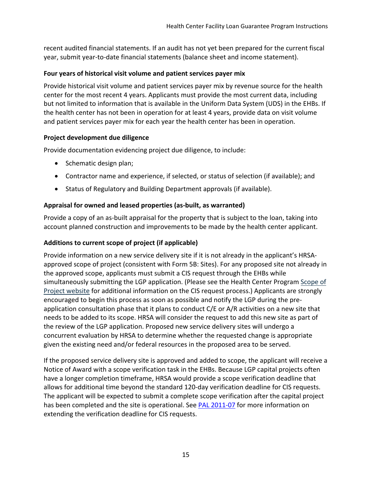recent audited financial statements. If an audit has not yet been prepared for the current fiscal year, submit year-to-date financial statements (balance sheet and income statement).

#### <span id="page-14-0"></span>**Four years of historical visit volume and patient services payer mix**

Provide historical visit volume and patient services payer mix by revenue source for the health center for the most recent 4 years. Applicants must provide the most current data, including but not limited to information that is available in the Uniform Data System (UDS) in the EHBs. If the health center has not been in operation for at least 4 years, provide data on visit volume and patient services payer mix for each year the health center has been in operation.

#### <span id="page-14-1"></span>**Project development due diligence**

Provide documentation evidencing project due diligence, to include:

- Schematic design plan;
- Contractor name and experience, if selected, or status of selection (if available); and
- Status of Regulatory and Building Department approvals (if available).

### <span id="page-14-2"></span>**Appraisal for owned and leased properties (as-built, as warranted)**

Provide a copy of an as-built appraisal for the property that is subject to the loan, taking into account planned construction and improvements to be made by the health center applicant.

### <span id="page-14-3"></span>**Additions to current scope of project (if applicable)**

Provide information on a new service delivery site if it is not already in the applicant's HRSAapproved scope of project (consistent with Form 5B: Sites). For any proposed site not already in the approved scope, applicants must submit a CIS request through the EHBs while simultaneously submitting the LGP application. (Please see the Health Center Program [Scope of](https://bphc.hrsa.gov/programrequirements/scope.html)  [Project website](https://bphc.hrsa.gov/programrequirements/scope.html) for additional information on the CIS request process.) Applicants are strongly encouraged to begin this process as soon as possible and notify the LGP during the preapplication consultation phase that it plans to conduct C/E or A/R activities on a new site that needs to be added to its scope. HRSA will consider the request to add this new site as part of the review of the LGP application. Proposed new service delivery sites will undergo a concurrent evaluation by HRSA to determine whether the requested change is appropriate given the existing need and/or federal resources in the proposed area to be served.

If the proposed service delivery site is approved and added to scope, the applicant will receive a Notice of Award with a scope verification task in the EHBs. Because LGP capital projects often have a longer completion timeframe, HRSA would provide a scope verification deadline that allows for additional time beyond the standard 120-day verification deadline for CIS requests. The applicant will be expected to submit a complete scope verification after the capital project has been completed and the site is operational. See [PAL 2011-07](https://bphc.hrsa.gov/programrequirements/pdf/pal201107.pdf) for more information on extending the verification deadline for CIS requests.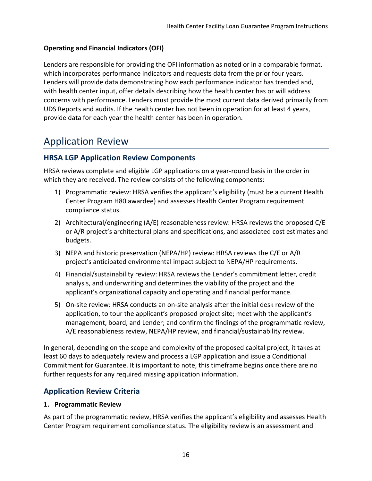### **Operating and Financial Indicators (OFI)**

Lenders are responsible for providing the OFI information as noted or in a comparable format, which incorporates performance indicators and requests data from the prior four years. Lenders will provide data demonstrating how each performance indicator has trended and, with health center input, offer details describing how the health center has or will address concerns with performance. Lenders must provide the most current data derived primarily from UDS Reports and audits. If the health center has not been in operation for at least 4 years, provide data for each year the health center has been in operation.

# <span id="page-15-0"></span>Application Review

## <span id="page-15-1"></span>**HRSA LGP Application Review Components**

HRSA reviews complete and eligible LGP applications on a year-round basis in the order in which they are received. The review consists of the following components:

- 1) Programmatic review: HRSA verifies the applicant's eligibility (must be a current Health Center Program H80 awardee) and assesses Health Center Program requirement compliance status.
- 2) Architectural/engineering (A/E) reasonableness review: HRSA reviews the proposed C/E or A/R project's architectural plans and specifications, and associated cost estimates and budgets.
- 3) NEPA and historic preservation (NEPA/HP) review: HRSA reviews the C/E or A/R project's anticipated environmental impact subject to NEPA/HP requirements.
- 4) Financial/sustainability review: HRSA reviews the Lender's commitment letter, credit analysis, and underwriting and determines the viability of the project and the applicant's organizational capacity and operating and financial performance.
- 5) On-site review: HRSA conducts an on-site analysis after the initial desk review of the application, to tour the applicant's proposed project site; meet with the applicant's management, board, and Lender; and confirm the findings of the programmatic review, A/E reasonableness review, NEPA/HP review, and financial/sustainability review.

In general, depending on the scope and complexity of the proposed capital project, it takes at least 60 days to adequately review and process a LGP application and issue a Conditional Commitment for Guarantee. It is important to note, this timeframe begins once there are no further requests for any required missing application information.

# <span id="page-15-2"></span>**Application Review Criteria**

### <span id="page-15-3"></span>**1. Programmatic Review**

As part of the programmatic review, HRSA verifies the applicant's eligibility and assesses Health Center Program requirement compliance status. The eligibility review is an assessment and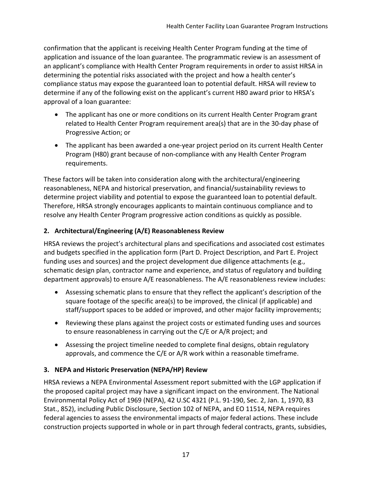confirmation that the applicant is receiving Health Center Program funding at the time of application and issuance of the loan guarantee. The programmatic review is an assessment of an applicant's compliance with Health Center Program requirements in order to assist HRSA in determining the potential risks associated with the project and how a health center's compliance status may expose the guaranteed loan to potential default. HRSA will review to determine if any of the following exist on the applicant's current H80 award prior to HRSA's approval of a loan guarantee:

- The applicant has one or more conditions on its current Health Center Program grant related to Health Center Program requirement area(s) that are in the 30-day phase of Progressive Action; or
- The applicant has been awarded a one-year project period on its current Health Center Program (H80) grant because of non-compliance with any Health Center Program requirements.

These factors will be taken into consideration along with the architectural/engineering reasonableness, NEPA and historical preservation, and financial/sustainability reviews to determine project viability and potential to expose the guaranteed loan to potential default. Therefore, HRSA strongly encourages applicants to maintain continuous compliance and to resolve any Health Center Program progressive action conditions as quickly as possible.

# <span id="page-16-0"></span>**2. Architectural/Engineering (A/E) Reasonableness Review**

HRSA reviews the project's architectural plans and specifications and associated cost estimates and budgets specified in the application form (Part D. Project Description, and Part E. Project funding uses and sources) and the project development due diligence attachments (e.g., schematic design plan, contractor name and experience, and status of regulatory and building department approvals) to ensure A/E reasonableness. The A/E reasonableness review includes:

- Assessing schematic plans to ensure that they reflect the applicant's description of the square footage of the specific area(s) to be improved, the clinical (if applicable) and staff/support spaces to be added or improved, and other major facility improvements;
- Reviewing these plans against the project costs or estimated funding uses and sources to ensure reasonableness in carrying out the C/E or A/R project; and
- Assessing the project timeline needed to complete final designs, obtain regulatory approvals, and commence the C/E or A/R work within a reasonable timeframe.

# <span id="page-16-1"></span>**3. NEPA and Historic Preservation (NEPA/HP) Review**

HRSA reviews a NEPA Environmental Assessment report submitted with the LGP application if the proposed capital project may have a significant impact on the environment. The National Environmental Policy Act of 1969 (NEPA), 42 U.SC 4321 (P.L. 91-190, Sec. 2, Jan. 1, 1970, 83 Stat., 852), including Public Disclosure, Section 102 of NEPA, and EO 11514, NEPA requires federal agencies to assess the environmental impacts of major federal actions. These include construction projects supported in whole or in part through federal contracts, grants, subsidies,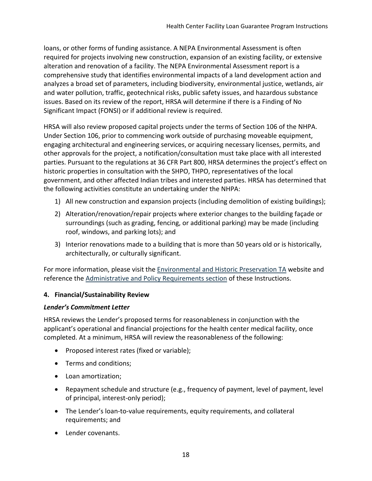loans, or other forms of funding assistance. A NEPA Environmental Assessment is often required for projects involving new construction, expansion of an existing facility, or extensive alteration and renovation of a facility. The NEPA Environmental Assessment report is a comprehensive study that identifies environmental impacts of a land development action and analyzes a broad set of parameters, including biodiversity, environmental justice, wetlands, air and water pollution, traffic, geotechnical risks, public safety issues, and hazardous substance issues. Based on its review of the report, HRSA will determine if there is a Finding of No Significant Impact (FONSI) or if additional review is required.

HRSA will also review proposed capital projects under the terms of Section 106 of the NHPA. Under Section 106, prior to commencing work outside of purchasing moveable equipment, engaging architectural and engineering services, or acquiring necessary licenses, permits, and other approvals for the project, a notification/consultation must take place with all interested parties. Pursuant to the regulations at 36 CFR Part 800, HRSA determines the project's effect on historic properties in consultation with the SHPO, THPO, representatives of the local government, and other affected Indian tribes and interested parties. HRSA has determined that the following activities constitute an undertaking under the NHPA:

- 1) All new construction and expansion projects (including demolition of existing buildings);
- 2) Alteration/renovation/repair projects where exterior changes to the building façade or surroundings (such as grading, fencing, or additional parking) may be made (including roof, windows, and parking lots); and
- 3) Interior renovations made to a building that is more than 50 years old or is historically, architecturally, or culturally significant.

For more information, please visit the **Environmental and Historic Preservation TA** website and reference the [Administrative and Policy Requirements section](#page-24-2) of these Instructions.

### <span id="page-17-0"></span>**4. Financial/Sustainability Review**

### *Lender's Commitment Letter*

HRSA reviews the Lender's proposed terms for reasonableness in conjunction with the applicant's operational and financial projections for the health center medical facility, once completed. At a minimum, HRSA will review the reasonableness of the following:

- Proposed interest rates (fixed or variable);
- Terms and conditions;
- Loan amortization;
- Repayment schedule and structure (e.g., frequency of payment, level of payment, level of principal, interest-only period);
- The Lender's loan-to-value requirements, equity requirements, and collateral requirements; and
- Lender covenants.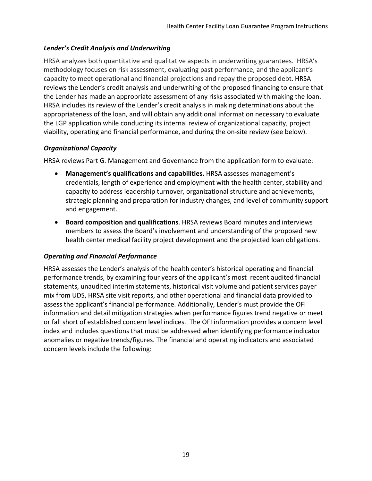### *Lender's Credit Analysis and Underwriting*

HRSA analyzes both quantitative and qualitative aspects in underwriting guarantees. HRSA's methodology focuses on risk assessment, evaluating past performance, and the applicant's capacity to meet operational and financial projections and repay the proposed debt. HRSA reviews the Lender's credit analysis and underwriting of the proposed financing to ensure that the Lender has made an appropriate assessment of any risks associated with making the loan. HRSA includes its review of the Lender's credit analysis in making determinations about the appropriateness of the loan, and will obtain any additional information necessary to evaluate the LGP application while conducting its internal review of organizational capacity, project viability, operating and financial performance, and during the on-site review (see below).

### *Organizational Capacity*

HRSA reviews Part G. Management and Governance from the application form to evaluate:

- **Management's qualifications and capabilities.** HRSA assesses management's credentials, length of experience and employment with the health center, stability and capacity to address leadership turnover, organizational structure and achievements, strategic planning and preparation for industry changes, and level of community support and engagement.
- **Board composition and qualifications**. HRSA reviews Board minutes and interviews members to assess the Board's involvement and understanding of the proposed new health center medical facility project development and the projected loan obligations.

### *Operating and Financial Performance*

HRSA assesses the Lender's analysis of the health center's historical operating and financial performance trends, by examining four years of the applicant's most recent audited financial statements, unaudited interim statements, historical visit volume and patient services payer mix from UDS, HRSA site visit reports, and other operational and financial data provided to assess the applicant's financial performance. Additionally, Lender's must provide the OFI information and detail mitigation strategies when performance figures trend negative or meet or fall short of established concern level indices. The OFI information provides a concern level index and includes questions that must be addressed when identifying performance indicator anomalies or negative trends/figures. The financial and operating indicators and associated concern levels include the following: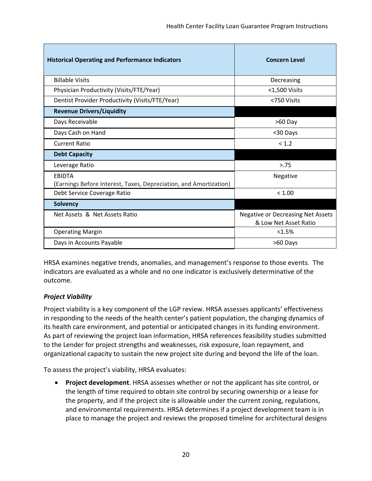| <b>Historical Operating and Performance Indicators</b>            | <b>Concern Level</b>                                              |  |
|-------------------------------------------------------------------|-------------------------------------------------------------------|--|
| <b>Billable Visits</b>                                            | Decreasing                                                        |  |
| Physician Productivity (Visits/FTE/Year)                          | <1,500 Visits                                                     |  |
| Dentist Provider Productivity (Visits/FTE/Year)                   | <750 Visits                                                       |  |
| <b>Revenue Drivers/Liquidity</b>                                  |                                                                   |  |
| Days Receivable                                                   | $>60$ Day                                                         |  |
| Days Cash on Hand                                                 | <30 Days                                                          |  |
| <b>Current Ratio</b>                                              | < 1.2                                                             |  |
| <b>Debt Capacity</b>                                              |                                                                   |  |
| > 75<br>Leverage Ratio                                            |                                                                   |  |
| EBIDTA<br>Negative                                                |                                                                   |  |
| (Earnings Before Interest, Taxes, Depreciation, and Amortization) |                                                                   |  |
| < 1.00<br>Debt Service Coverage Ratio                             |                                                                   |  |
| <b>Solvency</b>                                                   |                                                                   |  |
| Net Assets & Net Assets Ratio                                     | <b>Negative or Decreasing Net Assets</b><br>& Low Net Asset Ratio |  |
| <b>Operating Margin</b><br>< 1.5%                                 |                                                                   |  |
| Days in Accounts Payable                                          | >60 Days                                                          |  |

HRSA examines negative trends, anomalies, and management's response to those events. The indicators are evaluated as a whole and no one indicator is exclusively determinative of the outcome.

## *Project Viability*

Project viability is a key component of the LGP review. HRSA assesses applicants' effectiveness in responding to the needs of the health center's patient population, the changing dynamics of its health care environment, and potential or anticipated changes in its funding environment. As part of reviewing the project loan information, HRSA references feasibility studies submitted to the Lender for project strengths and weaknesses, risk exposure, loan repayment, and organizational capacity to sustain the new project site during and beyond the life of the loan.

To assess the project's viability, HRSA evaluates:

• **Project development**. HRSA assesses whether or not the applicant has site control, or the length of time required to obtain site control by securing ownership or a lease for the property, and if the project site is allowable under the current zoning, regulations, and environmental requirements. HRSA determines if a project development team is in place to manage the project and reviews the proposed timeline for architectural designs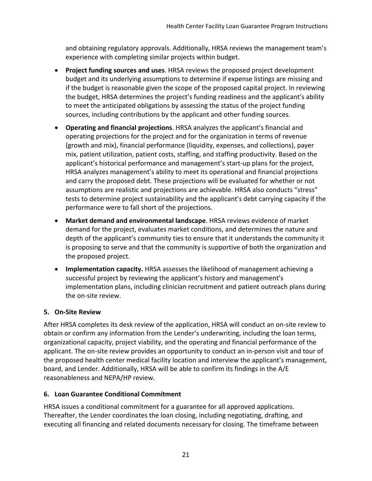and obtaining regulatory approvals. Additionally, HRSA reviews the management team's experience with completing similar projects within budget.

- **Project funding sources and uses**. HRSA reviews the proposed project development budget and its underlying assumptions to determine if expense listings are missing and if the budget is reasonable given the scope of the proposed capital project. In reviewing the budget, HRSA determines the project's funding readiness and the applicant's ability to meet the anticipated obligations by assessing the status of the project funding sources, including contributions by the applicant and other funding sources.
- **Operating and financial projections**. HRSA analyzes the applicant's financial and operating projections for the project and for the organization in terms of revenue (growth and mix), financial performance (liquidity, expenses, and collections), payer mix, patient utilization, patient costs, staffing, and staffing productivity. Based on the applicant's historical performance and management's start-up plans for the project, HRSA analyzes management's ability to meet its operational and financial projections and carry the proposed debt. These projections will be evaluated for whether or not assumptions are realistic and projections are achievable. HRSA also conducts "stress" tests to determine project sustainability and the applicant's debt carrying capacity if the performance were to fall short of the projections.
- **Market demand and environmental landscape**. HRSA reviews evidence of market demand for the project, evaluates market conditions, and determines the nature and depth of the applicant's community ties to ensure that it understands the community it is proposing to serve and that the community is supportive of both the organization and the proposed project.
- **Implementation capacity.** HRSA assesses the likelihood of management achieving a successful project by reviewing the applicant's history and management's implementation plans, including clinician recruitment and patient outreach plans during the on-site review.

### <span id="page-20-0"></span>**5. On-Site Review**

After HRSA completes its desk review of the application, HRSA will conduct an on-site review to obtain or confirm any information from the Lender's underwriting, including the loan terms, organizational capacity, project viability, and the operating and financial performance of the applicant. The on-site review provides an opportunity to conduct an in-person visit and tour of the proposed health center medical facility location and interview the applicant's management, board, and Lender. Additionally, HRSA will be able to confirm its findings in the A/E reasonableness and NEPA/HP review.

### <span id="page-20-1"></span>**6. Loan Guarantee Conditional Commitment**

HRSA issues a conditional commitment for a guarantee for all approved applications. Thereafter, the Lender coordinates the loan closing, including negotiating, drafting, and executing all financing and related documents necessary for closing. The timeframe between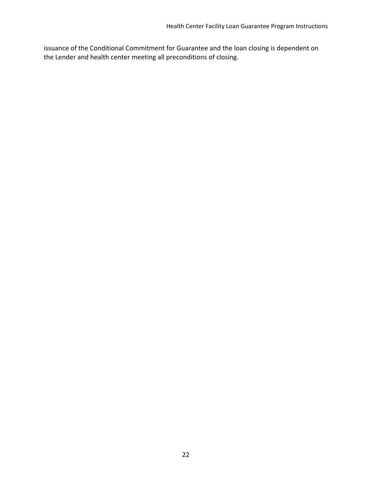issuance of the Conditional Commitment for Guarantee and the loan closing is dependent on the Lender and health center meeting all preconditions of closing.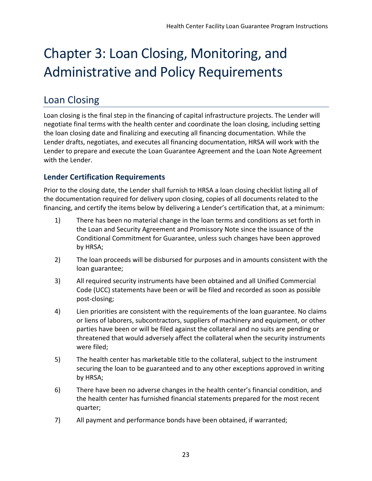# <span id="page-22-0"></span>Chapter 3: Loan Closing, Monitoring, and Administrative and Policy Requirements

# <span id="page-22-1"></span>Loan Closing

Loan closing is the final step in the financing of capital infrastructure projects. The Lender will negotiate final terms with the health center and coordinate the loan closing, including setting the loan closing date and finalizing and executing all financing documentation. While the Lender drafts, negotiates, and executes all financing documentation, HRSA will work with the Lender to prepare and execute the Loan Guarantee Agreement and the Loan Note Agreement with the Lender.

# <span id="page-22-2"></span>**Lender Certification Requirements**

Prior to the closing date, the Lender shall furnish to HRSA a loan closing checklist listing all of the documentation required for delivery upon closing, copies of all documents related to the financing, and certify the items below by delivering a Lender's certification that, at a minimum:

- <span id="page-22-3"></span>1) There has been no material change in the loan terms and conditions as set forth in the Loan and Security Agreement and Promissory Note since the issuance of the Conditional Commitment for Guarantee, unless such changes have been approved by HRSA;
- 2) The loan proceeds will be disbursed for purposes and in amounts consistent with the loan guarantee;
- 3) All required security instruments have been obtained and all Unified Commercial Code (UCC) statements have been or will be filed and recorded as soon as possible post-closing;
- 4) Lien priorities are consistent with the requirements of the loan guarantee. No claims or liens of laborers, subcontractors, suppliers of machinery and equipment, or other parties have been or will be filed against the collateral and no suits are pending or threatened that would adversely affect the collateral when the security instruments were filed;
- 5) The health center has marketable title to the collateral, subject to the instrument securing the loan to be guaranteed and to any other exceptions approved in writing by HRSA;
- <span id="page-22-4"></span>6) There have been no adverse changes in the health center's financial condition, and the health center has furnished financial statements prepared for the most recent quarter;
- 7) All payment and performance bonds have been obtained, if warranted;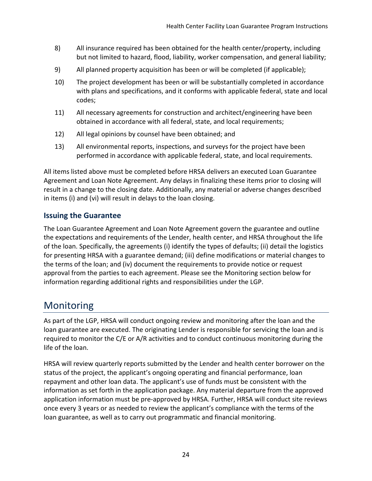- 8) All insurance required has been obtained for the health center/property, including but not limited to hazard, flood, liability, worker compensation, and general liability;
- 9) All planned property acquisition has been or will be completed (if applicable);
- 10) The project development has been or will be substantially completed in accordance with plans and specifications, and it conforms with applicable federal, state and local codes;
- 11) All necessary agreements for construction and architect/engineering have been obtained in accordance with all federal, state, and local requirements;
- 12) All legal opinions by counsel have been obtained; and
- 13) All environmental reports, inspections, and surveys for the project have been performed in accordance with applicable federal, state, and local requirements.

All items listed above must be completed before HRSA delivers an executed Loan Guarantee Agreement and Loan Note Agreement. Any delays in finalizing these items prior to closing will result in a change to the closing date. Additionally, any material or adverse changes described in items [\(i\)](#page-22-3) and [\(vi\)](#page-22-4) will result in delays to the loan closing.

# <span id="page-23-0"></span>**Issuing the Guarantee**

The Loan Guarantee Agreement and Loan Note Agreement govern the guarantee and outline the expectations and requirements of the Lender, health center, and HRSA throughout the life of the loan. Specifically, the agreements (i) identify the types of defaults; (ii) detail the logistics for presenting HRSA with a guarantee demand; (iii) define modifications or material changes to the terms of the loan; and (iv) document the requirements to provide notice or request approval from the parties to each agreement. Please see the Monitoring section below for information regarding additional rights and responsibilities under the LGP.

# <span id="page-23-1"></span>Monitoring

As part of the LGP, HRSA will conduct ongoing review and monitoring after the loan and the loan guarantee are executed. The originating Lender is responsible for servicing the loan and is required to monitor the C/E or A/R activities and to conduct continuous monitoring during the life of the loan.

HRSA will review quarterly reports submitted by the Lender and health center borrower on the status of the project, the applicant's ongoing operating and financial performance, loan repayment and other loan data. The applicant's use of funds must be consistent with the information as set forth in the application package. Any material departure from the approved application information must be pre-approved by HRSA. Further, HRSA will conduct site reviews once every 3 years or as needed to review the applicant's compliance with the terms of the loan guarantee, as well as to carry out programmatic and financial monitoring.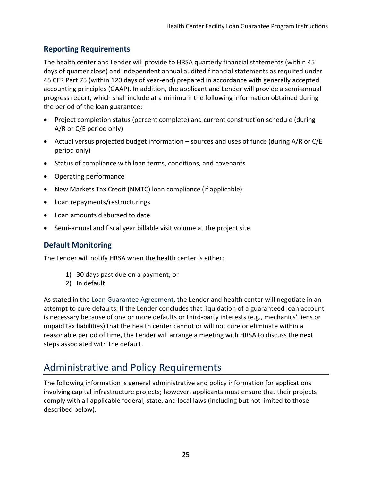# <span id="page-24-0"></span>**Reporting Requirements**

The health center and Lender will provide to HRSA quarterly financial statements (within 45 days of quarter close) and independent annual audited financial statements as required under 45 CFR Part 75 (within 120 days of year-end) prepared in accordance with generally accepted accounting principles (GAAP). In addition, the applicant and Lender will provide a semi-annual progress report, which shall include at a minimum the following information obtained during the period of the loan guarantee:

- Project completion status (percent complete) and current construction schedule (during A/R or C/E period only)
- Actual versus projected budget information sources and uses of funds (during A/R or C/E period only)
- Status of compliance with loan terms, conditions, and covenants
- Operating performance
- New Markets Tax Credit (NMTC) loan compliance (if applicable)
- Loan repayments/restructurings
- Loan amounts disbursed to date
- Semi-annual and fiscal year billable visit volume at the project site.

# <span id="page-24-1"></span>**Default Monitoring**

The Lender will notify HRSA when the health center is either:

- 1) 30 days past due on a payment; or
- 2) In default

As stated in the [Loan Guarantee Agreement,](https://bphc.hrsa.gov/sites/default/files/bphc/programopportunities/fundingopportunities/hcf-lgp/loan-guarantee-agreement.pdf) the Lender and health center will negotiate in an attempt to cure defaults. If the Lender concludes that liquidation of a guaranteed loan account is necessary because of one or more defaults or third-party interests (e.g., mechanics' liens or unpaid tax liabilities) that the health center cannot or will not cure or eliminate within a reasonable period of time, the Lender will arrange a meeting with HRSA to discuss the next steps associated with the default.

# <span id="page-24-2"></span>Administrative and Policy Requirements

The following information is general administrative and policy information for applications involving capital infrastructure projects; however, applicants must ensure that their projects comply with all applicable federal, state, and local laws (including but not limited to those described below).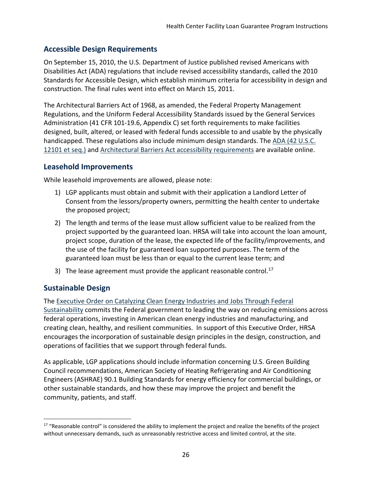## <span id="page-25-0"></span>**Accessible Design Requirements**

On September 15, 2010, the U.S. Department of Justice published revised Americans with Disabilities Act (ADA) regulations that include revised accessibility standards, called the 2010 Standards for Accessible Design, which establish minimum criteria for accessibility in design and construction. The final rules went into effect on March 15, 2011.

The Architectural Barriers Act of 1968, as amended, the Federal Property Management Regulations, and the Uniform Federal Accessibility Standards issued by the General Services Administration (41 CFR 101-19.6, Appendix C) set forth requirements to make facilities designed, built, altered, or leased with federal funds accessible to and usable by the physically handicapped. These regulations also include minimum design standards. The [ADA \(42 U.S.C.](http://www.ada.gov/pubs/ada.htm)  [12101 et seq.\)](http://www.ada.gov/pubs/ada.htm) and [Architectural Barriers Act accessibility requirements](http://www.access-board.gov/guidelines-and-standards/buildings-and-sites/about-the-ada-standards/background/ada-aba-accessibility-guidelines-2004) are available online.

### <span id="page-25-1"></span>**Leasehold Improvements**

While leasehold improvements are allowed, please note:

- 1) LGP applicants must obtain and submit with their application a Landlord Letter of Consent from the lessors/property owners, permitting the health center to undertake the proposed project;
- 2) The length and terms of the lease must allow sufficient value to be realized from the project supported by the guaranteed loan. HRSA will take into account the loan amount, project scope, duration of the lease, the expected life of the facility/improvements, and the use of the facility for guaranteed loan supported purposes. The term of the guaranteed loan must be less than or equal to the current lease term; and
- 3) The lease agreement must provide the applicant reasonable control.<sup>[17](#page-25-3)</sup>

## <span id="page-25-2"></span>**Sustainable Design**

The [Executive Order on Catalyzing Clean Energy Industries and Jobs Through Federal](https://www.whitehouse.gov/briefing-room/presidential-actions/2021/12/08/executive-order-on-catalyzing-clean-energy-industries-and-jobs-through-federal-sustainability/)  [Sustainability](https://www.whitehouse.gov/briefing-room/presidential-actions/2021/12/08/executive-order-on-catalyzing-clean-energy-industries-and-jobs-through-federal-sustainability/) commits the Federal government to leading the way on reducing emissions across federal operations, investing in American clean energy industries and manufacturing, and creating clean, healthy, and resilient communities. In support of this Executive Order, HRSA encourages the incorporation of sustainable design principles in the design, construction, and operations of facilities that we support through federal funds.

As applicable, LGP applications should include information concerning U.S. Green Building Council recommendations, American Society of Heating Refrigerating and Air Conditioning Engineers (ASHRAE) 90.1 Building Standards for energy efficiency for commercial buildings, or other sustainable standards, and how these may improve the project and benefit the community, patients, and staff.

<span id="page-25-3"></span><sup>&</sup>lt;sup>17</sup> "Reasonable control" is considered the ability to implement the project and realize the benefits of the project without unnecessary demands, such as unreasonably restrictive access and limited control, at the site.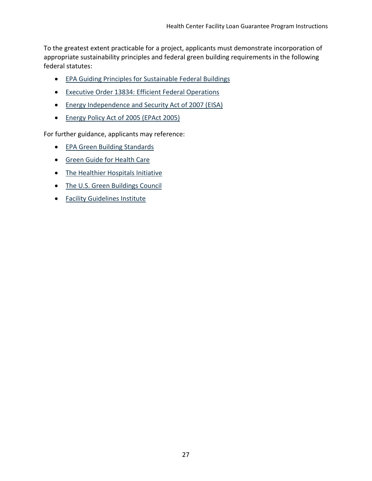To the greatest extent practicable for a project, applicants must demonstrate incorporation of appropriate sustainability principles and federal green building requirements in the following federal statutes:

- [EPA Guiding Principles for Sustainable Federal Buildings](https://www.epa.gov/greeningepa/guiding-principles-sustainable-federal-buildings)
- Executive Order [13834: Efficient Federal Operations](https://www.sustainability.gov/pdfs/eo13834_instructions.pdf)
- [Energy Independence and Security Act of 2007 \(EISA\)](https://www.epa.gov/greeningepa/energy-independence-and-security-act-2007)
- [Energy Policy Act of 2005 \(EPAct 2005\)](https://www.epa.gov/laws-regulations/summary-energy-policy-act)

For further guidance, applicants may reference:

- **EPA Green Building Standards**
- [Green Guide for Health Care](http://www.gghc.org/)
- The Healthier Hospitals Initiative
- The U.S. Green Buildings Council
- [Facility Guidelines Institute](https://fgiguidelines.org/)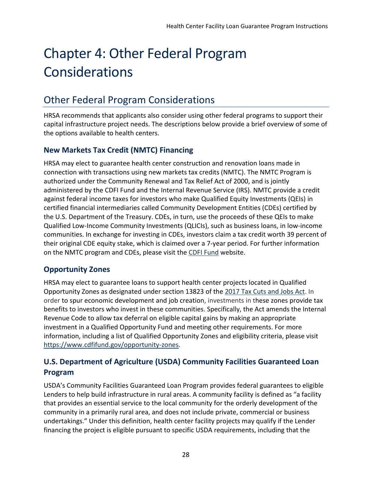# <span id="page-27-0"></span>Chapter 4: Other Federal Program Considerations

# <span id="page-27-1"></span>Other Federal Program Considerations

HRSA recommends that applicants also consider using other federal programs to support their capital infrastructure project needs. The descriptions below provide a brief overview of some of the options available to health centers.

# <span id="page-27-2"></span>**New Markets Tax Credit (NMTC) Financing**

HRSA may elect to guarantee health center construction and renovation loans made in connection with transactions using new markets tax credits (NMTC). The NMTC Program is authorized under the Community Renewal and Tax Relief Act of 2000, and is jointly administered by the CDFI Fund and the Internal Revenue Service (IRS). NMTC provide a credit against federal income taxes for investors who make Qualified Equity Investments (QEIs) in certified financial intermediaries called Community Development Entities (CDEs) certified by the U.S. Department of the Treasury. CDEs, in turn, use the proceeds of these QEIs to make Qualified Low-Income Community Investments (QLICIs), such as business loans, in low-income communities. In exchange for investing in CDEs, investors claim a tax credit worth 39 percent of their original CDE equity stake, which is claimed over a 7-year period. For further information on the NMTC program and CDEs, please visit the [CDFI Fund](http://www.cdfifund.gov/nmtc) website.

# <span id="page-27-3"></span>**Opportunity Zones**

HRSA may elect to guarantee loans to support health center projects located in Qualified Opportunity Zones as designated under section 13823 of the [2017 Tax Cuts and Jobs Act.](https://www.congress.gov/115/crpt/hrpt466/CRPT-115hrpt466.pdf) In order to spur economic development and job creation, investments in these zones provide tax benefits to investors who invest in these communities. Specifically, the Act amends the Internal Revenue Code to allow tax deferral on eligible capital gains by making an appropriate investment in a Qualified Opportunity Fund and meeting other requirements. For more information, including a list of Qualified Opportunity Zones and eligibility criteria, please visit [https://www.cdfifund.gov/opportunity-zones.](https://www.cdfifund.gov/opportunity-zones)

# <span id="page-27-4"></span>**U.S. Department of Agriculture (USDA) Community Facilities Guaranteed Loan Program**

USDA's Community Facilities Guaranteed Loan Program provides federal guarantees to eligible Lenders to help build infrastructure in rural areas. A community facility is defined as "a facility that provides an essential service to the local community for the orderly development of the community in a primarily rural area, and does not include private, commercial or business undertakings." Under this definition, health center facility projects may qualify if the Lender financing the project is eligible pursuant to specific USDA requirements, including that the